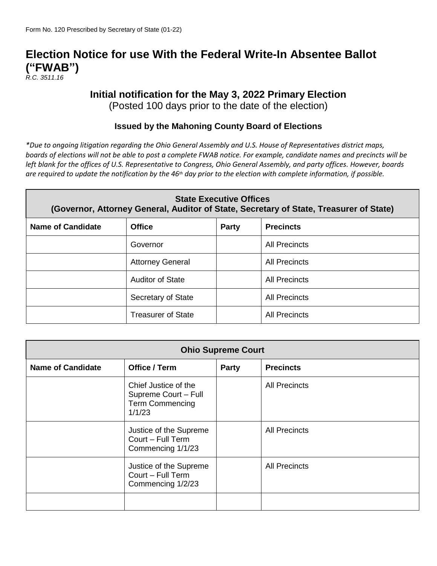# **Election Notice for use With the Federal Write-In Absentee Ballot ("FWAB")**

*R.C. 3511.16*

## **Initial notification for the May 3, 2022 Primary Election**

(Posted 100 days prior to the date of the election)

### **Issued by the Mahoning County Board of Elections**

*\*Due to ongoing litigation regarding the Ohio General Assembly and U.S. House of Representatives district maps, boards of elections will not be able to post a complete FWAB notice. For example, candidate names and precincts will be left blank for the offices of U.S. Representative to Congress, Ohio General Assembly, and party offices. However, boards are required to update the notification by the 46th day prior to the election with complete information, if possible.*

| <b>State Executive Offices</b><br>(Governor, Attorney General, Auditor of State, Secretary of State, Treasurer of State) |                                                   |  |                      |  |  |  |
|--------------------------------------------------------------------------------------------------------------------------|---------------------------------------------------|--|----------------------|--|--|--|
| <b>Name of Candidate</b>                                                                                                 | <b>Office</b><br><b>Precincts</b><br><b>Party</b> |  |                      |  |  |  |
|                                                                                                                          | Governor                                          |  | <b>All Precincts</b> |  |  |  |
|                                                                                                                          | <b>Attorney General</b>                           |  | <b>All Precincts</b> |  |  |  |
|                                                                                                                          | <b>Auditor of State</b>                           |  | <b>All Precincts</b> |  |  |  |
|                                                                                                                          | Secretary of State                                |  | <b>All Precincts</b> |  |  |  |
|                                                                                                                          | <b>Treasurer of State</b>                         |  | <b>All Precincts</b> |  |  |  |

| <b>Ohio Supreme Court</b> |                                                                                  |       |                      |
|---------------------------|----------------------------------------------------------------------------------|-------|----------------------|
| <b>Name of Candidate</b>  | Office / Term                                                                    | Party | <b>Precincts</b>     |
|                           | Chief Justice of the<br>Supreme Court - Full<br><b>Term Commencing</b><br>1/1/23 |       | <b>All Precincts</b> |
|                           | Justice of the Supreme<br>Court - Full Term<br>Commencing 1/1/23                 |       | <b>All Precincts</b> |
|                           | Justice of the Supreme<br>Court - Full Term<br>Commencing 1/2/23                 |       | <b>All Precincts</b> |
|                           |                                                                                  |       |                      |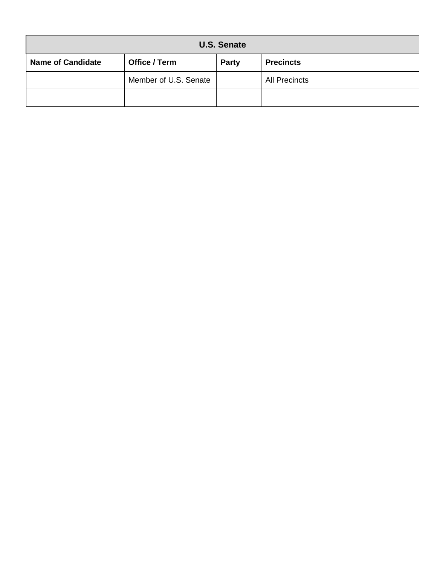| <b>U.S. Senate</b>       |                       |       |                      |  |
|--------------------------|-----------------------|-------|----------------------|--|
| <b>Name of Candidate</b> | Office / Term         | Party | <b>Precincts</b>     |  |
|                          | Member of U.S. Senate |       | <b>All Precincts</b> |  |
|                          |                       |       |                      |  |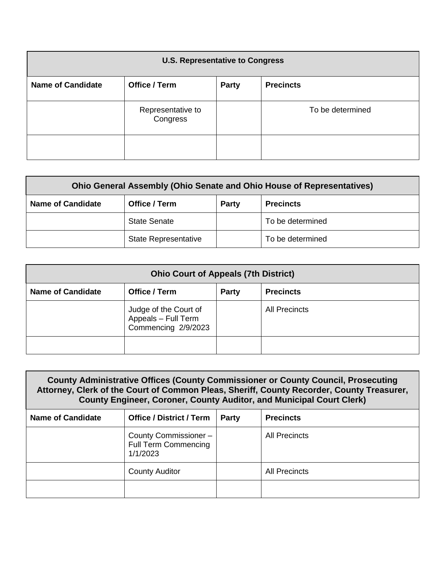| <b>U.S. Representative to Congress</b> |                               |              |                  |
|----------------------------------------|-------------------------------|--------------|------------------|
| <b>Name of Candidate</b>               | <b>Office / Term</b>          | <b>Party</b> | <b>Precincts</b> |
|                                        | Representative to<br>Congress |              | To be determined |
|                                        |                               |              |                  |

| <b>Ohio General Assembly (Ohio Senate and Ohio House of Representatives)</b> |                                            |  |                  |  |  |
|------------------------------------------------------------------------------|--------------------------------------------|--|------------------|--|--|
| <b>Name of Candidate</b>                                                     | Office / Term<br>Party<br><b>Precincts</b> |  |                  |  |  |
|                                                                              | <b>State Senate</b>                        |  | To be determined |  |  |
|                                                                              | <b>State Representative</b>                |  | To be determined |  |  |

| <b>Ohio Court of Appeals (7th District)</b>                                   |                                                                     |  |                      |  |  |
|-------------------------------------------------------------------------------|---------------------------------------------------------------------|--|----------------------|--|--|
| <b>Name of Candidate</b><br>Office / Term<br><b>Precincts</b><br><b>Party</b> |                                                                     |  |                      |  |  |
|                                                                               | Judge of the Court of<br>Appeals - Full Term<br>Commencing 2/9/2023 |  | <b>All Precincts</b> |  |  |
|                                                                               |                                                                     |  |                      |  |  |

| <b>County Administrative Offices (County Commissioner or County Council, Prosecuting</b><br>Attorney, Clerk of the Court of Common Pleas, Sheriff, County Recorder, County Treasurer,<br><b>County Engineer, Coroner, County Auditor, and Municipal Court Clerk)</b> |                                                                 |       |                      |  |
|----------------------------------------------------------------------------------------------------------------------------------------------------------------------------------------------------------------------------------------------------------------------|-----------------------------------------------------------------|-------|----------------------|--|
| <b>Name of Candidate</b>                                                                                                                                                                                                                                             | <b>Office / District / Term</b>                                 | Party | <b>Precincts</b>     |  |
|                                                                                                                                                                                                                                                                      | County Commissioner-<br><b>Full Term Commencing</b><br>1/1/2023 |       | All Precincts        |  |
|                                                                                                                                                                                                                                                                      | <b>County Auditor</b>                                           |       | <b>All Precincts</b> |  |
|                                                                                                                                                                                                                                                                      |                                                                 |       |                      |  |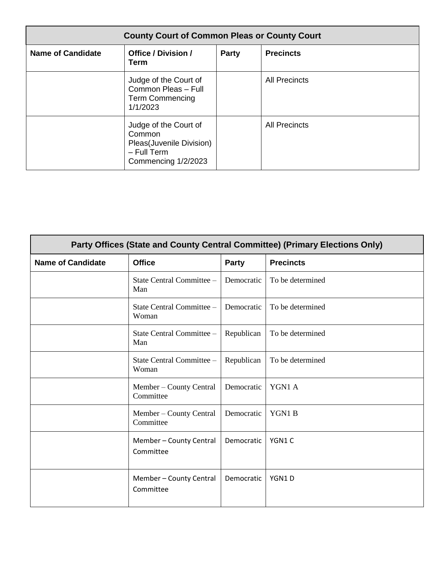| <b>County Court of Common Pleas or County Court</b> |                                                                                                     |              |                      |
|-----------------------------------------------------|-----------------------------------------------------------------------------------------------------|--------------|----------------------|
| <b>Name of Candidate</b>                            | <b>Office / Division /</b><br>Term                                                                  | <b>Party</b> | <b>Precincts</b>     |
|                                                     | Judge of the Court of<br>Common Pleas - Full<br><b>Term Commencing</b><br>1/1/2023                  |              | <b>All Precincts</b> |
|                                                     | Judge of the Court of<br>Common<br>Pleas(Juvenile Division)<br>$-$ Full Term<br>Commencing 1/2/2023 |              | <b>All Precincts</b> |

| Party Offices (State and County Central Committee) (Primary Elections Only) |                                      |              |                  |  |
|-----------------------------------------------------------------------------|--------------------------------------|--------------|------------------|--|
| <b>Name of Candidate</b>                                                    | <b>Office</b>                        | <b>Party</b> | <b>Precincts</b> |  |
|                                                                             | State Central Committee -<br>Man     | Democratic   | To be determined |  |
|                                                                             | State Central Committee -<br>Woman   | Democratic   | To be determined |  |
|                                                                             | State Central Committee -<br>Man     | Republican   | To be determined |  |
|                                                                             | State Central Committee -<br>Woman   | Republican   | To be determined |  |
|                                                                             | Member – County Central<br>Committee | Democratic   | YGN1 A           |  |
|                                                                             | Member – County Central<br>Committee | Democratic   | YGN1B            |  |
|                                                                             | Member - County Central<br>Committee | Democratic   | YGN1C            |  |
|                                                                             | Member - County Central<br>Committee | Democratic   | YGN1D            |  |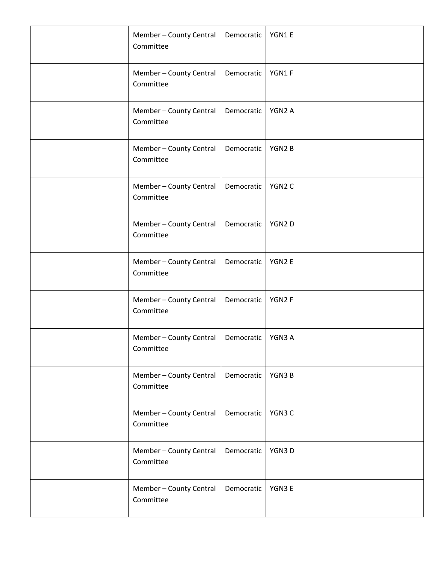| Member - County Central<br>Committee | Democratic | YGN1E  |
|--------------------------------------|------------|--------|
| Member - County Central<br>Committee | Democratic | YGN1F  |
| Member - County Central<br>Committee | Democratic | YGN2 A |
| Member - County Central<br>Committee | Democratic | YGN2B  |
| Member - County Central<br>Committee | Democratic | YGN2C  |
| Member - County Central<br>Committee | Democratic | YGN2D  |
| Member - County Central<br>Committee | Democratic | YGN2 E |
| Member - County Central<br>Committee | Democratic | YGN2F  |
| Member - County Central<br>Committee | Democratic | YGN3 A |
| Member - County Central<br>Committee | Democratic | YGN3B  |
| Member - County Central<br>Committee | Democratic | YGN3 C |
| Member - County Central<br>Committee | Democratic | YGN3D  |
| Member - County Central<br>Committee | Democratic | YGN3 E |
|                                      |            |        |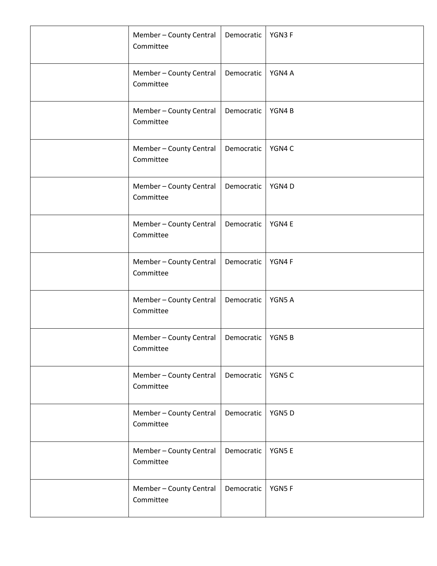| Member - County Central<br>Committee | Democratic | YGN3F  |
|--------------------------------------|------------|--------|
| Member - County Central<br>Committee | Democratic | YGN4 A |
| Member - County Central<br>Committee | Democratic | YGN4B  |
| Member - County Central<br>Committee | Democratic | YGN4 C |
| Member - County Central<br>Committee | Democratic | YGN4D  |
| Member - County Central<br>Committee | Democratic | YGN4 E |
| Member - County Central<br>Committee | Democratic | YGN4F  |
| Member - County Central<br>Committee | Democratic | YGN5 A |
| Member - County Central<br>Committee | Democratic | YGN5B  |
| Member - County Central<br>Committee | Democratic | YGN5 C |
| Member - County Central<br>Committee | Democratic | YGN5D  |
| Member - County Central<br>Committee | Democratic | YGN5E  |
| Member - County Central<br>Committee | Democratic | YGN5F  |
|                                      |            |        |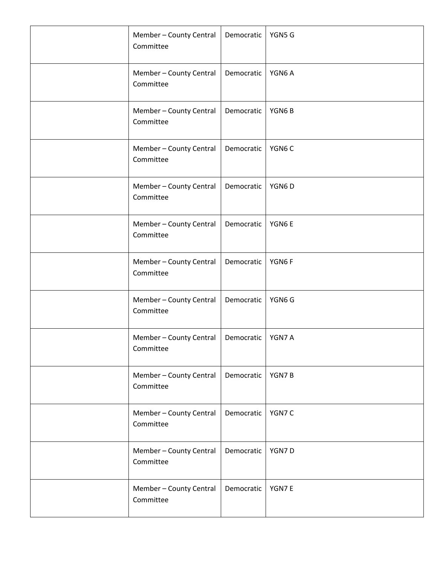| Member - County Central<br>Committee | Democratic | YGN5 G |
|--------------------------------------|------------|--------|
| Member - County Central<br>Committee | Democratic | YGN6A  |
| Member - County Central<br>Committee | Democratic | YGN6B  |
| Member - County Central<br>Committee | Democratic | YGN6C  |
| Member - County Central<br>Committee | Democratic | YGN6D  |
| Member - County Central<br>Committee | Democratic | YGN6E  |
| Member - County Central<br>Committee | Democratic | YGN6F  |
| Member - County Central<br>Committee | Democratic | YGN6 G |
| Member - County Central<br>Committee | Democratic | YGN7 A |
| Member - County Central<br>Committee | Democratic | YGN7B  |
| Member - County Central<br>Committee | Democratic | YGN7 C |
| Member - County Central<br>Committee | Democratic | YGN7D  |
| Member - County Central<br>Committee | Democratic | YGN7E  |
|                                      |            |        |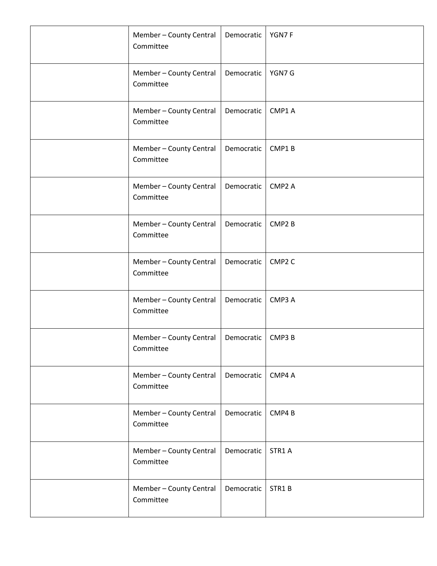| Member - County Central<br>Committee | Democratic | YGN7F              |
|--------------------------------------|------------|--------------------|
| Member - County Central<br>Committee | Democratic | YGN7 G             |
| Member - County Central<br>Committee | Democratic | CMP1 A             |
| Member - County Central<br>Committee | Democratic | CMP1B              |
| Member - County Central<br>Committee | Democratic | CMP <sub>2</sub> A |
| Member - County Central<br>Committee | Democratic | CMP <sub>2</sub> B |
| Member - County Central<br>Committee | Democratic | CMP <sub>2</sub> C |
| Member - County Central<br>Committee | Democratic | CMP3 A             |
| Member - County Central<br>Committee | Democratic | CMP3 B             |
| Member - County Central<br>Committee | Democratic | CMP4 A             |
| Member - County Central<br>Committee | Democratic | CMP4B              |
| Member - County Central<br>Committee | Democratic | STR1 A             |
| Member - County Central<br>Committee | Democratic | STR1B              |
|                                      |            |                    |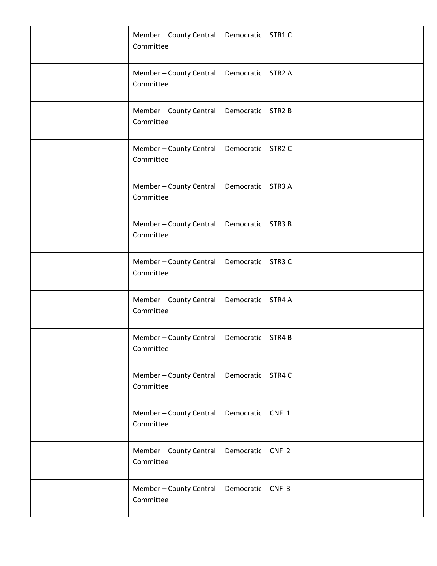| Member - County Central<br>Committee | Democratic | STR1C              |
|--------------------------------------|------------|--------------------|
| Member - County Central<br>Committee | Democratic | STR <sub>2</sub> A |
| Member - County Central<br>Committee | Democratic | STR <sub>2</sub> B |
| Member - County Central<br>Committee | Democratic | STR <sub>2</sub> C |
| Member - County Central<br>Committee | Democratic | STR <sub>3</sub> A |
| Member - County Central<br>Committee | Democratic | STR <sub>3</sub> B |
| Member - County Central<br>Committee | Democratic | STR <sub>3</sub> C |
| Member - County Central<br>Committee | Democratic | STR4 A             |
| Member - County Central<br>Committee | Democratic | STR4B              |
| Member - County Central<br>Committee | Democratic | STR4 C             |
| Member - County Central<br>Committee | Democratic | CNF 1              |
| Member - County Central<br>Committee | Democratic | CNF <sub>2</sub>   |
| Member - County Central<br>Committee | Democratic | CNF <sub>3</sub>   |
|                                      |            |                    |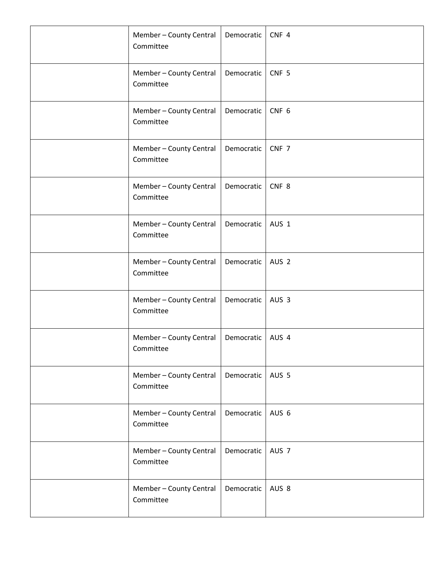| Member - County Central<br>Committee | Democratic | CNF <sub>4</sub> |
|--------------------------------------|------------|------------------|
| Member - County Central<br>Committee | Democratic | CNF <sub>5</sub> |
| Member - County Central<br>Committee | Democratic | CNF <sub>6</sub> |
| Member - County Central<br>Committee | Democratic | CNF 7            |
| Member - County Central<br>Committee | Democratic | CNF <sub>8</sub> |
| Member - County Central<br>Committee | Democratic | AUS <sub>1</sub> |
| Member - County Central<br>Committee | Democratic | AUS <sub>2</sub> |
| Member - County Central<br>Committee | Democratic | AUS <sub>3</sub> |
| Member - County Central<br>Committee | Democratic | AUS 4            |
| Member - County Central<br>Committee | Democratic | AUS <sub>5</sub> |
| Member - County Central<br>Committee | Democratic | AUS 6            |
| Member - County Central<br>Committee | Democratic | AUS <sub>7</sub> |
| Member - County Central<br>Committee | Democratic | AUS <sub>8</sub> |
|                                      |            |                  |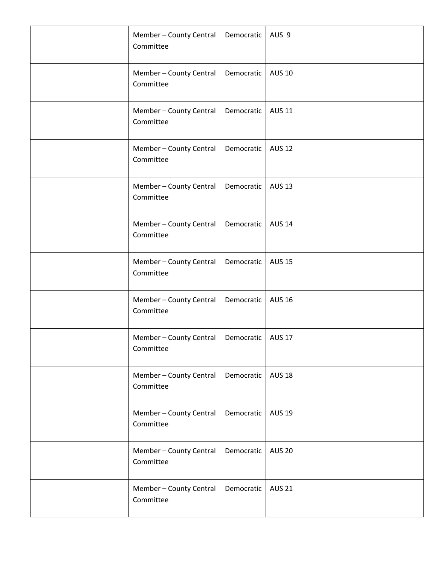| Member - County Central<br>Committee | Democratic | AUS <sub>9</sub> |
|--------------------------------------|------------|------------------|
| Member - County Central<br>Committee | Democratic | <b>AUS 10</b>    |
| Member - County Central<br>Committee | Democratic | <b>AUS 11</b>    |
| Member - County Central<br>Committee | Democratic | <b>AUS 12</b>    |
| Member - County Central<br>Committee | Democratic | <b>AUS 13</b>    |
| Member - County Central<br>Committee | Democratic | <b>AUS 14</b>    |
| Member - County Central<br>Committee | Democratic | <b>AUS 15</b>    |
| Member - County Central<br>Committee | Democratic | <b>AUS 16</b>    |
| Member - County Central<br>Committee | Democratic | <b>AUS 17</b>    |
| Member - County Central<br>Committee | Democratic | <b>AUS 18</b>    |
| Member - County Central<br>Committee | Democratic | <b>AUS 19</b>    |
| Member - County Central<br>Committee | Democratic | <b>AUS 20</b>    |
| Member - County Central<br>Committee | Democratic | <b>AUS 21</b>    |
|                                      |            |                  |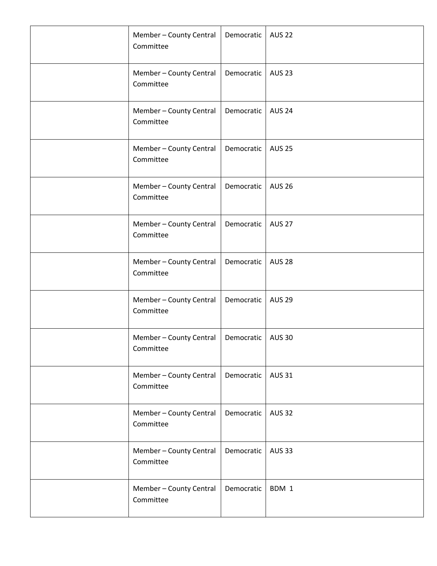| Member - County Central<br>Committee | Democratic | <b>AUS 22</b> |
|--------------------------------------|------------|---------------|
| Member - County Central<br>Committee | Democratic | <b>AUS 23</b> |
| Member - County Central<br>Committee | Democratic | <b>AUS 24</b> |
| Member - County Central<br>Committee | Democratic | <b>AUS 25</b> |
| Member - County Central<br>Committee | Democratic | <b>AUS 26</b> |
| Member - County Central<br>Committee | Democratic | <b>AUS 27</b> |
| Member - County Central<br>Committee | Democratic | <b>AUS 28</b> |
| Member - County Central<br>Committee | Democratic | <b>AUS 29</b> |
| Member - County Central<br>Committee | Democratic | <b>AUS 30</b> |
| Member - County Central<br>Committee | Democratic | <b>AUS 31</b> |
| Member - County Central<br>Committee | Democratic | <b>AUS 32</b> |
| Member - County Central<br>Committee | Democratic | <b>AUS 33</b> |
| Member - County Central<br>Committee | Democratic | BDM 1         |
|                                      |            |               |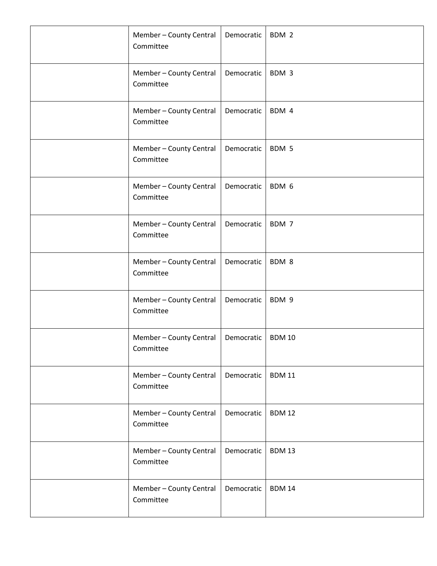| Member - County Central<br>Committee | Democratic | BDM 2         |
|--------------------------------------|------------|---------------|
| Member - County Central<br>Committee | Democratic | BDM 3         |
| Member - County Central<br>Committee | Democratic | BDM 4         |
| Member - County Central<br>Committee | Democratic | BDM 5         |
| Member - County Central<br>Committee | Democratic | BDM 6         |
| Member - County Central<br>Committee | Democratic | BDM 7         |
| Member - County Central<br>Committee | Democratic | BDM 8         |
| Member - County Central<br>Committee | Democratic | BDM 9         |
| Member - County Central<br>Committee | Democratic | <b>BDM 10</b> |
| Member - County Central<br>Committee | Democratic | <b>BDM11</b>  |
| Member - County Central<br>Committee | Democratic | <b>BDM 12</b> |
| Member - County Central<br>Committee | Democratic | <b>BDM 13</b> |
| Member - County Central<br>Committee | Democratic | <b>BDM 14</b> |
|                                      |            |               |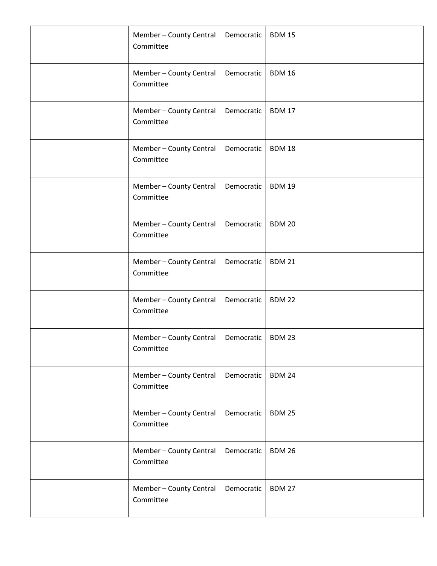| Member - County Central<br>Committee | Democratic | <b>BDM 15</b> |
|--------------------------------------|------------|---------------|
| Member - County Central<br>Committee | Democratic | <b>BDM 16</b> |
| Member - County Central<br>Committee | Democratic | <b>BDM 17</b> |
| Member - County Central<br>Committee | Democratic | <b>BDM18</b>  |
| Member - County Central<br>Committee | Democratic | <b>BDM 19</b> |
| Member - County Central<br>Committee | Democratic | <b>BDM 20</b> |
| Member - County Central<br>Committee | Democratic | <b>BDM 21</b> |
| Member - County Central<br>Committee | Democratic | <b>BDM 22</b> |
| Member - County Central<br>Committee | Democratic | <b>BDM 23</b> |
| Member - County Central<br>Committee | Democratic | <b>BDM 24</b> |
| Member - County Central<br>Committee | Democratic | <b>BDM 25</b> |
| Member - County Central<br>Committee | Democratic | <b>BDM 26</b> |
| Member - County Central<br>Committee | Democratic | <b>BDM 27</b> |
|                                      |            |               |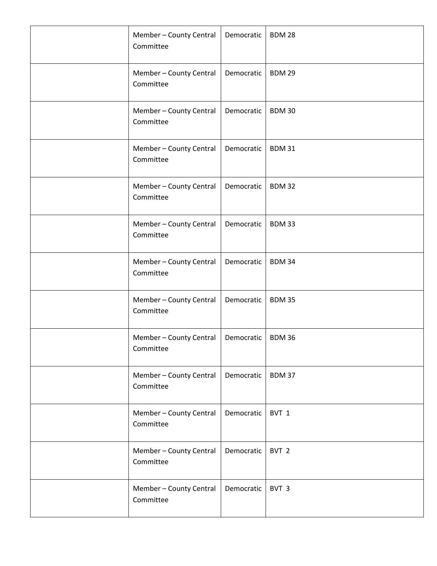| Member - County Central<br>Committee | Democratic | <b>BDM 28</b>    |
|--------------------------------------|------------|------------------|
| Member - County Central<br>Committee | Democratic | <b>BDM 29</b>    |
| Member - County Central<br>Committee | Democratic | <b>BDM30</b>     |
| Member - County Central<br>Committee | Democratic | <b>BDM31</b>     |
| Member - County Central<br>Committee | Democratic | <b>BDM32</b>     |
| Member - County Central<br>Committee | Democratic | <b>BDM33</b>     |
| Member - County Central<br>Committee | Democratic | <b>BDM34</b>     |
| Member - County Central<br>Committee | Democratic | <b>BDM 35</b>    |
| Member - County Central<br>Committee | Democratic | <b>BDM36</b>     |
| Member - County Central<br>Committee | Democratic | <b>BDM37</b>     |
| Member - County Central<br>Committee | Democratic | BVT 1            |
| Member - County Central<br>Committee | Democratic | BVT <sub>2</sub> |
| Member - County Central<br>Committee | Democratic | BVT 3            |
|                                      |            |                  |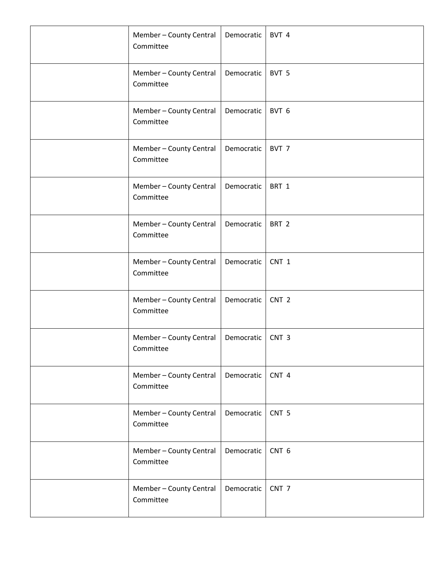| Member - County Central<br>Committee | Democratic | BVT 4            |
|--------------------------------------|------------|------------------|
| Member - County Central<br>Committee | Democratic | BVT 5            |
| Member - County Central<br>Committee | Democratic | BVT 6            |
| Member - County Central<br>Committee | Democratic | BVT 7            |
| Member - County Central<br>Committee | Democratic | BRT 1            |
| Member - County Central<br>Committee | Democratic | BRT <sub>2</sub> |
| Member - County Central<br>Committee | Democratic | CNT 1            |
| Member - County Central<br>Committee | Democratic | CNT <sub>2</sub> |
| Member - County Central<br>Committee | Democratic | CNT <sub>3</sub> |
| Member - County Central<br>Committee | Democratic | CNT 4            |
| Member - County Central<br>Committee | Democratic | CNT <sub>5</sub> |
| Member - County Central<br>Committee | Democratic | CNT <sub>6</sub> |
| Member - County Central<br>Committee | Democratic | CNT <sub>7</sub> |
|                                      |            |                  |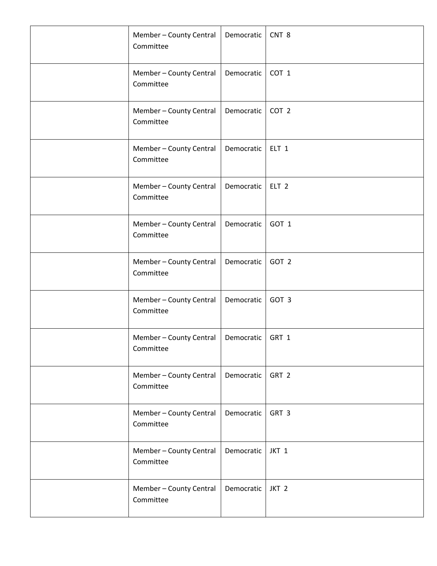| Member - County Central<br>Committee | Democratic | CNT <sub>8</sub> |
|--------------------------------------|------------|------------------|
| Member - County Central<br>Committee | Democratic | COT 1            |
| Member - County Central<br>Committee | Democratic | COT <sub>2</sub> |
| Member - County Central<br>Committee | Democratic | ELT <sub>1</sub> |
| Member - County Central<br>Committee | Democratic | ELT <sub>2</sub> |
| Member - County Central<br>Committee | Democratic | GOT 1            |
| Member - County Central<br>Committee | Democratic | GOT 2            |
| Member - County Central<br>Committee | Democratic | GOT 3            |
| Member - County Central<br>Committee | Democratic | GRT 1            |
| Member - County Central<br>Committee | Democratic | GRT 2            |
| Member - County Central<br>Committee | Democratic | GRT 3            |
| Member - County Central<br>Committee | Democratic | JKT 1            |
| Member - County Central<br>Committee | Democratic | JKT <sub>2</sub> |
|                                      |            |                  |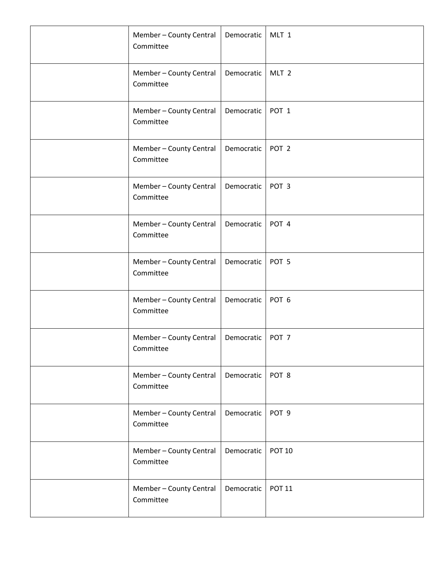| Member - County Central<br>Committee | Democratic | MLT 1            |
|--------------------------------------|------------|------------------|
| Member - County Central<br>Committee | Democratic | MLT <sub>2</sub> |
| Member - County Central<br>Committee | Democratic | POT <sub>1</sub> |
| Member - County Central<br>Committee | Democratic | POT <sub>2</sub> |
| Member - County Central<br>Committee | Democratic | POT <sub>3</sub> |
| Member - County Central<br>Committee | Democratic | POT 4            |
| Member - County Central<br>Committee | Democratic | POT <sub>5</sub> |
| Member - County Central<br>Committee | Democratic | POT <sub>6</sub> |
| Member - County Central<br>Committee | Democratic | POT <sub>7</sub> |
| Member - County Central<br>Committee | Democratic | POT 8            |
| Member - County Central<br>Committee | Democratic | POT <sub>9</sub> |
| Member - County Central<br>Committee | Democratic | <b>POT 10</b>    |
| Member - County Central<br>Committee | Democratic | <b>POT 11</b>    |
|                                      |            |                  |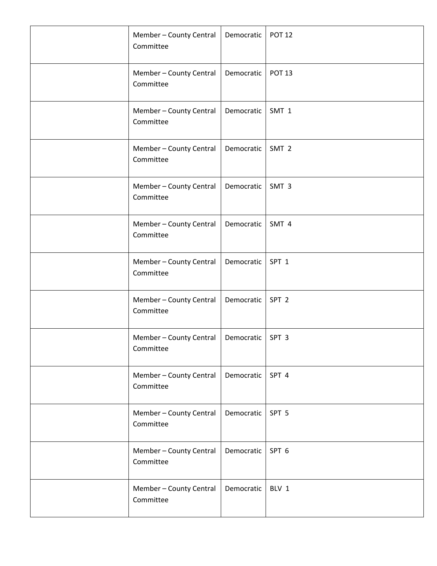| Member - County Central<br>Committee | Democratic | <b>POT 12</b>    |
|--------------------------------------|------------|------------------|
| Member - County Central<br>Committee | Democratic | <b>POT 13</b>    |
| Member - County Central<br>Committee | Democratic | SMT 1            |
| Member - County Central<br>Committee | Democratic | SMT <sub>2</sub> |
| Member - County Central<br>Committee | Democratic | SMT <sub>3</sub> |
| Member - County Central<br>Committee | Democratic | SMT 4            |
| Member - County Central<br>Committee | Democratic | SPT <sub>1</sub> |
| Member - County Central<br>Committee | Democratic | SPT <sub>2</sub> |
| Member - County Central<br>Committee | Democratic | SPT <sub>3</sub> |
| Member - County Central<br>Committee | Democratic | SPT 4            |
| Member - County Central<br>Committee | Democratic | SPT <sub>5</sub> |
| Member - County Central<br>Committee | Democratic | SPT 6            |
| Member - County Central<br>Committee | Democratic | BLV 1            |
|                                      |            |                  |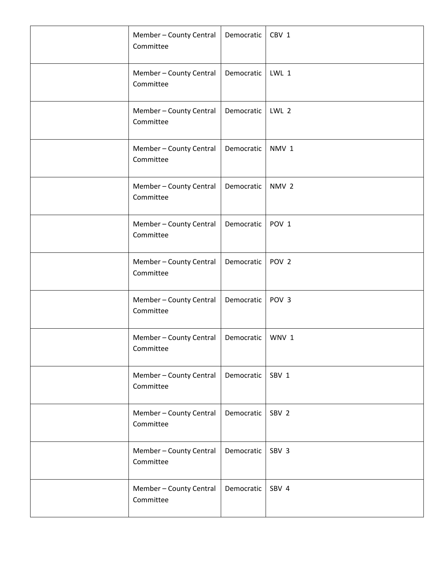| Member - County Central<br>Committee | Democratic | CBV 1            |
|--------------------------------------|------------|------------------|
| Member - County Central<br>Committee | Democratic | LWL 1            |
| Member - County Central<br>Committee | Democratic | LWL 2            |
| Member - County Central<br>Committee | Democratic | NMV <sub>1</sub> |
| Member - County Central<br>Committee | Democratic | NMV <sub>2</sub> |
| Member - County Central<br>Committee | Democratic | POV <sub>1</sub> |
| Member - County Central<br>Committee | Democratic | POV <sub>2</sub> |
| Member - County Central<br>Committee | Democratic | POV <sub>3</sub> |
| Member - County Central<br>Committee | Democratic | WNV 1            |
| Member - County Central<br>Committee | Democratic | SBV 1            |
| Member - County Central<br>Committee | Democratic | SBV <sub>2</sub> |
| Member - County Central<br>Committee | Democratic | SBV 3            |
| Member - County Central<br>Committee | Democratic | SBV 4            |
|                                      |            |                  |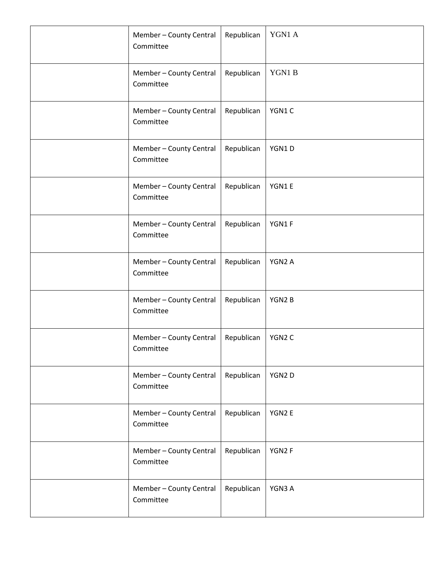| Member - County Central<br>Committee | Republican | YGN1 A |
|--------------------------------------|------------|--------|
| Member - County Central<br>Committee | Republican | YGN1B  |
| Member - County Central<br>Committee | Republican | YGN1C  |
| Member - County Central<br>Committee | Republican | YGN1D  |
| Member - County Central<br>Committee | Republican | YGN1E  |
| Member - County Central<br>Committee | Republican | YGN1F  |
| Member - County Central<br>Committee | Republican | YGN2 A |
| Member - County Central<br>Committee | Republican | YGN2B  |
| Member - County Central<br>Committee | Republican | YGN2 C |
| Member - County Central<br>Committee | Republican | YGN2D  |
| Member - County Central<br>Committee | Republican | YGN2 E |
| Member - County Central<br>Committee | Republican | YGN2F  |
| Member - County Central<br>Committee | Republican | YGN3 A |
|                                      |            |        |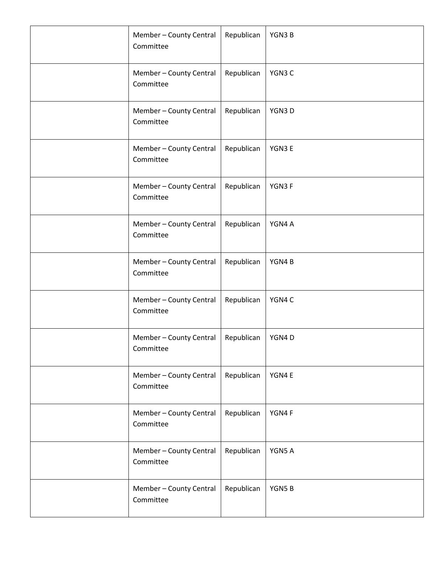| Member - County Central<br>Committee | Republican | YGN3B  |
|--------------------------------------|------------|--------|
| Member - County Central<br>Committee | Republican | YGN3 C |
| Member - County Central<br>Committee | Republican | YGN3D  |
| Member - County Central<br>Committee | Republican | YGN3 E |
| Member - County Central<br>Committee | Republican | YGN3F  |
| Member - County Central<br>Committee | Republican | YGN4 A |
| Member - County Central<br>Committee | Republican | YGN4B  |
| Member - County Central<br>Committee | Republican | YGN4 C |
| Member - County Central<br>Committee | Republican | YGN4D  |
| Member - County Central<br>Committee | Republican | YGN4 E |
| Member - County Central<br>Committee | Republican | YGN4F  |
| Member - County Central<br>Committee | Republican | YGN5 A |
| Member - County Central<br>Committee | Republican | YGN5B  |
|                                      |            |        |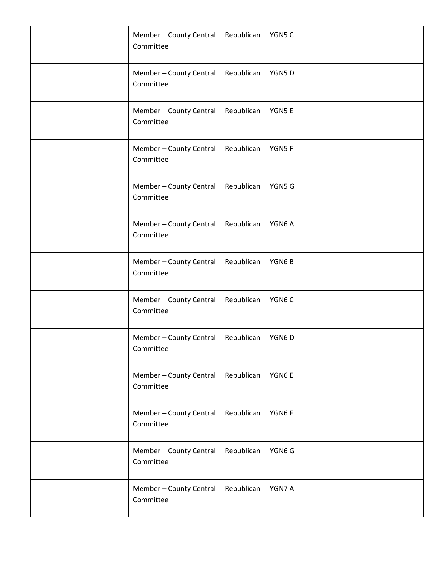| Member - County Central<br>Committee | Republican | YGN5 C |
|--------------------------------------|------------|--------|
| Member - County Central<br>Committee | Republican | YGN5D  |
| Member - County Central<br>Committee | Republican | YGN5E  |
| Member - County Central<br>Committee | Republican | YGN5F  |
| Member - County Central<br>Committee | Republican | YGN5 G |
| Member - County Central<br>Committee | Republican | YGN6A  |
| Member - County Central<br>Committee | Republican | YGN6B  |
| Member - County Central<br>Committee | Republican | YGN6C  |
| Member - County Central<br>Committee | Republican | YGN6D  |
| Member - County Central<br>Committee | Republican | YGN6E  |
| Member - County Central<br>Committee | Republican | YGN6F  |
| Member - County Central<br>Committee | Republican | YGN6 G |
| Member - County Central<br>Committee | Republican | YGN7 A |
|                                      |            |        |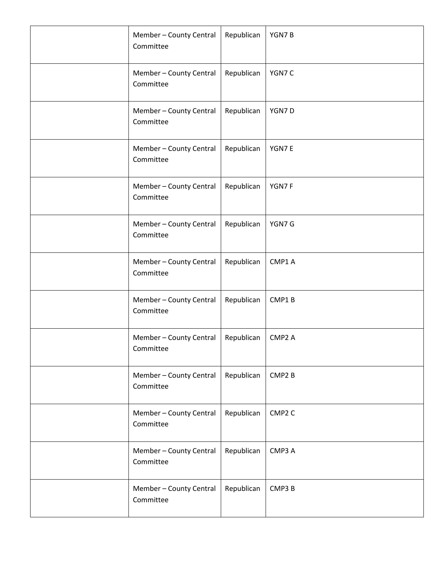| Member - County Central<br>Committee | Republican | YGN7B              |
|--------------------------------------|------------|--------------------|
| Member - County Central<br>Committee | Republican | YGN7 C             |
| Member - County Central<br>Committee | Republican | YGN7D              |
| Member - County Central<br>Committee | Republican | YGN7E              |
| Member - County Central<br>Committee | Republican | YGN7F              |
| Member - County Central<br>Committee | Republican | YGN7 G             |
| Member - County Central<br>Committee | Republican | CMP1 A             |
| Member - County Central<br>Committee | Republican | CMP1B              |
| Member - County Central<br>Committee | Republican | CMP <sub>2</sub> A |
| Member - County Central<br>Committee | Republican | CMP <sub>2</sub> B |
| Member - County Central<br>Committee | Republican | CMP <sub>2</sub> C |
| Member - County Central<br>Committee | Republican | CMP3 A             |
| Member - County Central<br>Committee | Republican | CMP3 B             |
|                                      |            |                    |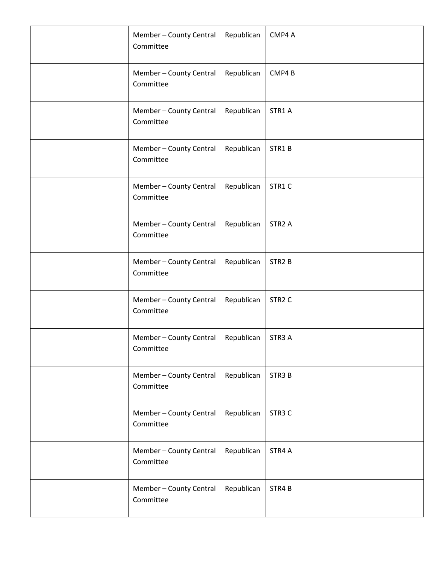| Member - County Central<br>Committee | Republican | CMP4 A             |
|--------------------------------------|------------|--------------------|
| Member - County Central<br>Committee | Republican | CMP4B              |
| Member - County Central<br>Committee | Republican | STR1 A             |
| Member - County Central<br>Committee | Republican | STR1B              |
| Member - County Central<br>Committee | Republican | STR1C              |
| Member - County Central<br>Committee | Republican | STR <sub>2</sub> A |
| Member - County Central<br>Committee | Republican | STR <sub>2</sub> B |
| Member - County Central<br>Committee | Republican | STR <sub>2</sub> C |
| Member - County Central<br>Committee | Republican | STR3 A             |
| Member - County Central<br>Committee | Republican | STR <sub>3</sub> B |
| Member - County Central<br>Committee | Republican | STR <sub>3</sub> C |
| Member - County Central<br>Committee | Republican | STR4 A             |
| Member - County Central<br>Committee | Republican | STR4B              |
|                                      |            |                    |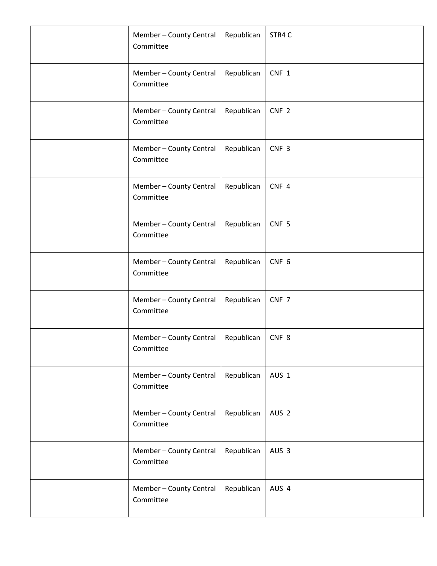| Member - County Central<br>Committee | Republican | STR4 C           |
|--------------------------------------|------------|------------------|
| Member - County Central<br>Committee | Republican | CNF 1            |
| Member - County Central<br>Committee | Republican | CNF <sub>2</sub> |
| Member - County Central<br>Committee | Republican | CNF <sub>3</sub> |
| Member - County Central<br>Committee | Republican | CNF 4            |
| Member - County Central<br>Committee | Republican | CNF <sub>5</sub> |
| Member - County Central<br>Committee | Republican | CNF <sub>6</sub> |
| Member - County Central<br>Committee | Republican | CNF 7            |
| Member - County Central<br>Committee | Republican | CNF <sub>8</sub> |
| Member - County Central<br>Committee | Republican | AUS 1            |
| Member - County Central<br>Committee | Republican | AUS <sub>2</sub> |
| Member - County Central<br>Committee | Republican | AUS <sub>3</sub> |
| Member - County Central<br>Committee | Republican | AUS 4            |
|                                      |            |                  |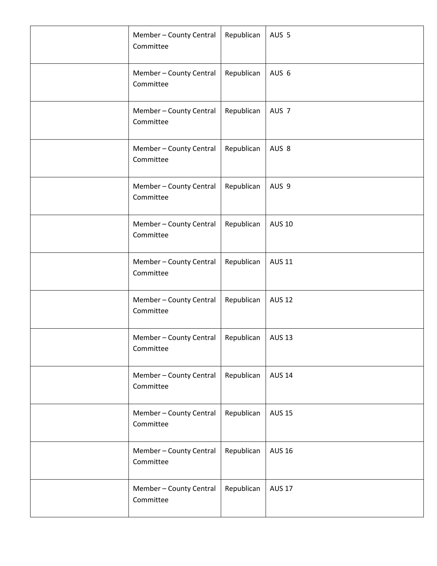| Member - County Central<br>Committee | Republican | AUS <sub>5</sub> |
|--------------------------------------|------------|------------------|
| Member - County Central<br>Committee | Republican | AUS 6            |
| Member - County Central<br>Committee | Republican | AUS <sub>7</sub> |
| Member - County Central<br>Committee | Republican | AUS 8            |
| Member - County Central<br>Committee | Republican | AUS 9            |
| Member - County Central<br>Committee | Republican | <b>AUS 10</b>    |
| Member - County Central<br>Committee | Republican | <b>AUS 11</b>    |
| Member - County Central<br>Committee | Republican | <b>AUS 12</b>    |
| Member - County Central<br>Committee | Republican | <b>AUS 13</b>    |
| Member - County Central<br>Committee | Republican | <b>AUS 14</b>    |
| Member - County Central<br>Committee | Republican | <b>AUS 15</b>    |
| Member - County Central<br>Committee | Republican | <b>AUS 16</b>    |
| Member - County Central<br>Committee | Republican | <b>AUS 17</b>    |
|                                      |            |                  |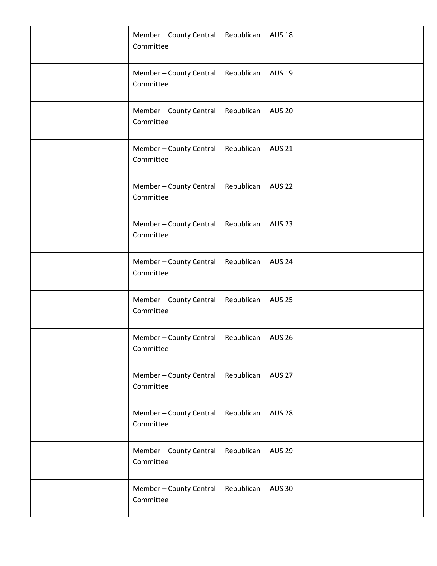| Member - County Central<br>Committee | Republican | <b>AUS 18</b> |
|--------------------------------------|------------|---------------|
| Member - County Central<br>Committee | Republican | <b>AUS 19</b> |
| Member - County Central<br>Committee | Republican | <b>AUS 20</b> |
| Member - County Central<br>Committee | Republican | <b>AUS 21</b> |
| Member - County Central<br>Committee | Republican | <b>AUS 22</b> |
| Member - County Central<br>Committee | Republican | <b>AUS 23</b> |
| Member - County Central<br>Committee | Republican | <b>AUS 24</b> |
| Member - County Central<br>Committee | Republican | <b>AUS 25</b> |
| Member - County Central<br>Committee | Republican | <b>AUS 26</b> |
| Member - County Central<br>Committee | Republican | <b>AUS 27</b> |
| Member - County Central<br>Committee | Republican | <b>AUS 28</b> |
| Member - County Central<br>Committee | Republican | <b>AUS 29</b> |
| Member - County Central<br>Committee | Republican | <b>AUS 30</b> |
|                                      |            |               |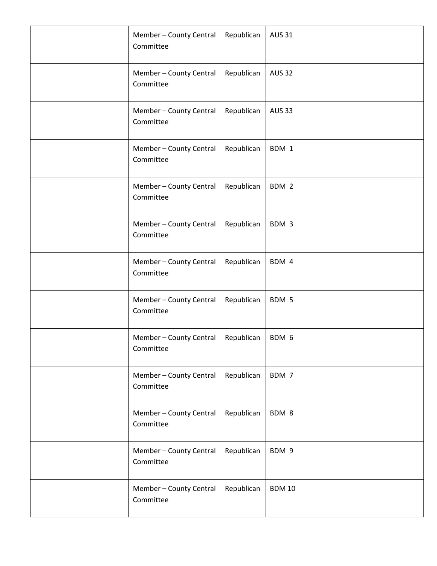| Member - County Central<br>Committee | Republican | <b>AUS 31</b> |
|--------------------------------------|------------|---------------|
| Member - County Central<br>Committee | Republican | <b>AUS 32</b> |
| Member - County Central<br>Committee | Republican | <b>AUS 33</b> |
| Member - County Central<br>Committee | Republican | BDM 1         |
| Member - County Central<br>Committee | Republican | BDM 2         |
| Member - County Central<br>Committee | Republican | BDM 3         |
| Member - County Central<br>Committee | Republican | BDM 4         |
| Member - County Central<br>Committee | Republican | BDM 5         |
| Member - County Central<br>Committee | Republican | BDM 6         |
| Member - County Central<br>Committee | Republican | BDM 7         |
| Member - County Central<br>Committee | Republican | BDM 8         |
| Member - County Central<br>Committee | Republican | BDM 9         |
| Member - County Central<br>Committee | Republican | <b>BDM 10</b> |
|                                      |            |               |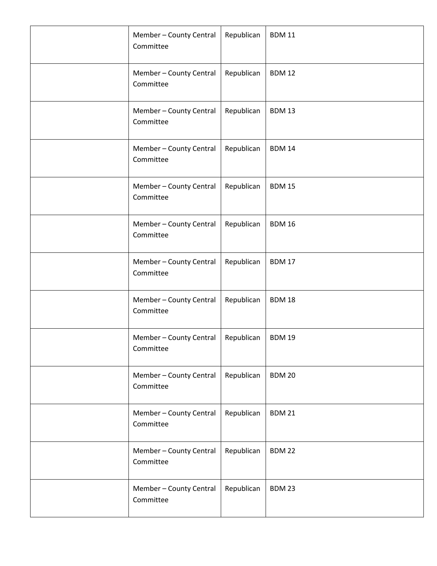| Member - County Central<br>Committee | Republican | <b>BDM 11</b> |
|--------------------------------------|------------|---------------|
| Member - County Central<br>Committee | Republican | <b>BDM 12</b> |
| Member - County Central<br>Committee | Republican | <b>BDM 13</b> |
| Member - County Central<br>Committee | Republican | <b>BDM 14</b> |
| Member - County Central<br>Committee | Republican | <b>BDM 15</b> |
| Member - County Central<br>Committee | Republican | <b>BDM 16</b> |
| Member - County Central<br>Committee | Republican | <b>BDM 17</b> |
| Member - County Central<br>Committee | Republican | <b>BDM 18</b> |
| Member - County Central<br>Committee | Republican | <b>BDM 19</b> |
| Member - County Central<br>Committee | Republican | <b>BDM 20</b> |
| Member - County Central<br>Committee | Republican | <b>BDM 21</b> |
| Member - County Central<br>Committee | Republican | <b>BDM 22</b> |
| Member - County Central<br>Committee | Republican | <b>BDM 23</b> |
|                                      |            |               |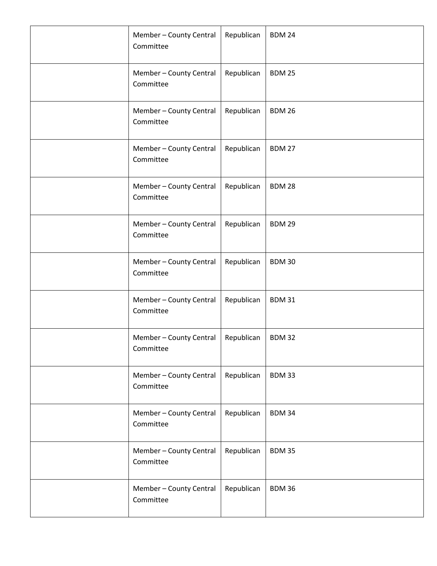| Member - County Central<br>Committee | Republican | <b>BDM 24</b> |
|--------------------------------------|------------|---------------|
| Member - County Central<br>Committee | Republican | <b>BDM 25</b> |
| Member - County Central<br>Committee | Republican | <b>BDM 26</b> |
| Member - County Central<br>Committee | Republican | <b>BDM 27</b> |
| Member - County Central<br>Committee | Republican | <b>BDM 28</b> |
| Member - County Central<br>Committee | Republican | <b>BDM 29</b> |
| Member - County Central<br>Committee | Republican | <b>BDM30</b>  |
| Member - County Central<br>Committee | Republican | <b>BDM31</b>  |
| Member - County Central<br>Committee | Republican | <b>BDM32</b>  |
| Member - County Central<br>Committee | Republican | <b>BDM33</b>  |
| Member - County Central<br>Committee | Republican | <b>BDM34</b>  |
| Member - County Central<br>Committee | Republican | <b>BDM35</b>  |
| Member - County Central<br>Committee | Republican | <b>BDM36</b>  |
|                                      |            |               |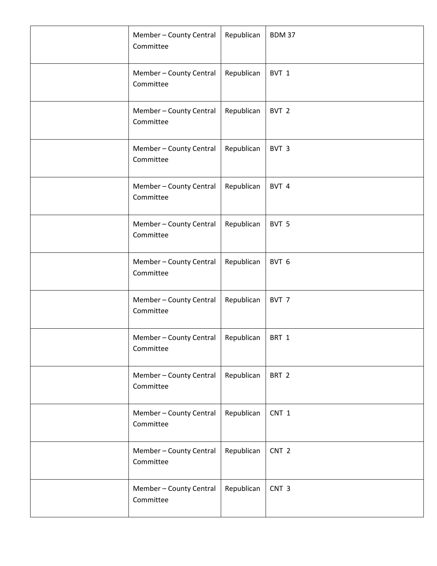| Member - County Central<br>Committee | Republican | <b>BDM 37</b>    |
|--------------------------------------|------------|------------------|
| Member - County Central<br>Committee | Republican | BVT 1            |
| Member - County Central<br>Committee | Republican | BVT <sub>2</sub> |
| Member - County Central<br>Committee | Republican | BVT 3            |
| Member - County Central<br>Committee | Republican | BVT 4            |
| Member - County Central<br>Committee | Republican | BVT 5            |
| Member - County Central<br>Committee | Republican | BVT 6            |
| Member - County Central<br>Committee | Republican | BVT 7            |
| Member - County Central<br>Committee | Republican | BRT 1            |
| Member - County Central<br>Committee | Republican | BRT <sub>2</sub> |
| Member - County Central<br>Committee | Republican | CNT 1            |
| Member - County Central<br>Committee | Republican | CNT <sub>2</sub> |
| Member - County Central<br>Committee | Republican | CNT <sub>3</sub> |
|                                      |            |                  |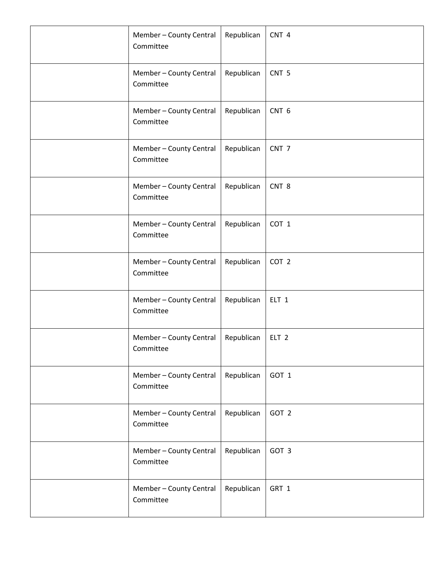| Member - County Central<br>Committee | Republican | CNT <sub>4</sub> |
|--------------------------------------|------------|------------------|
| Member - County Central<br>Committee | Republican | CNT <sub>5</sub> |
| Member - County Central<br>Committee | Republican | CNT <sub>6</sub> |
| Member - County Central<br>Committee | Republican | CNT <sub>7</sub> |
| Member - County Central<br>Committee | Republican | CNT <sub>8</sub> |
| Member - County Central<br>Committee | Republican | COT 1            |
| Member - County Central<br>Committee | Republican | COT <sub>2</sub> |
| Member - County Central<br>Committee | Republican | ELT <sub>1</sub> |
| Member - County Central<br>Committee | Republican | ELT <sub>2</sub> |
| Member - County Central<br>Committee | Republican | GOT 1            |
| Member - County Central<br>Committee | Republican | GOT 2            |
| Member - County Central<br>Committee | Republican | GOT 3            |
| Member - County Central<br>Committee | Republican | GRT 1            |
|                                      |            |                  |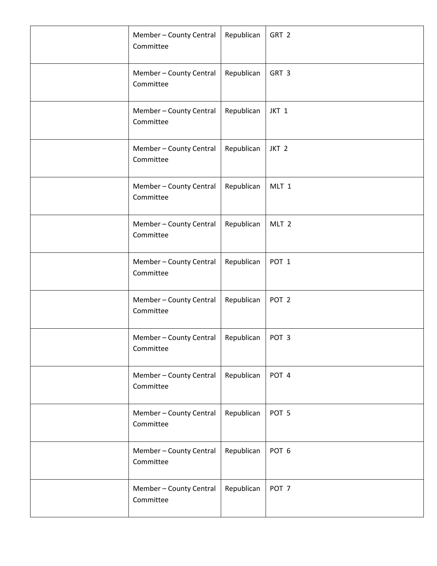| Member - County Central<br>Committee | Republican | GRT 2            |
|--------------------------------------|------------|------------------|
| Member - County Central<br>Committee | Republican | GRT 3            |
| Member - County Central<br>Committee | Republican | JKT 1            |
| Member - County Central<br>Committee | Republican | JKT <sub>2</sub> |
| Member - County Central<br>Committee | Republican | MLT 1            |
| Member - County Central<br>Committee | Republican | MLT <sub>2</sub> |
| Member - County Central<br>Committee | Republican | POT <sub>1</sub> |
| Member - County Central<br>Committee | Republican | POT <sub>2</sub> |
| Member - County Central<br>Committee | Republican | POT <sub>3</sub> |
| Member - County Central<br>Committee | Republican | POT 4            |
| Member - County Central<br>Committee | Republican | POT <sub>5</sub> |
| Member - County Central<br>Committee | Republican | POT <sub>6</sub> |
| Member - County Central<br>Committee | Republican | POT <sub>7</sub> |
|                                      |            |                  |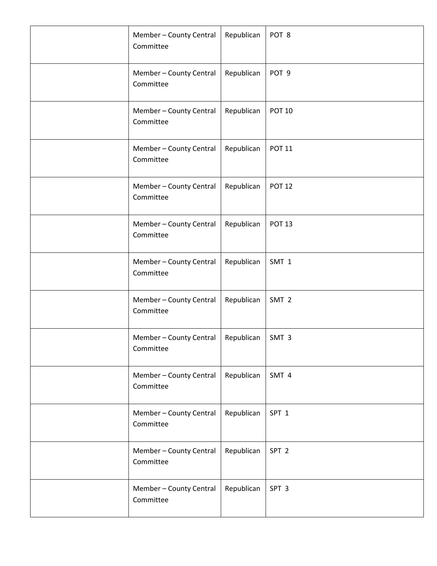| Member - County Central<br>Committee | Republican | POT 8            |
|--------------------------------------|------------|------------------|
| Member - County Central<br>Committee | Republican | POT <sub>9</sub> |
| Member - County Central<br>Committee | Republican | <b>POT 10</b>    |
| Member - County Central<br>Committee | Republican | <b>POT 11</b>    |
| Member - County Central<br>Committee | Republican | <b>POT 12</b>    |
| Member - County Central<br>Committee | Republican | <b>POT 13</b>    |
| Member - County Central<br>Committee | Republican | SMT 1            |
| Member - County Central<br>Committee | Republican | SMT <sub>2</sub> |
| Member - County Central<br>Committee | Republican | SMT <sub>3</sub> |
| Member - County Central<br>Committee | Republican | SMT 4            |
| Member - County Central<br>Committee | Republican | SPT <sub>1</sub> |
| Member - County Central<br>Committee | Republican | SPT <sub>2</sub> |
| Member - County Central<br>Committee | Republican | SPT <sub>3</sub> |
|                                      |            |                  |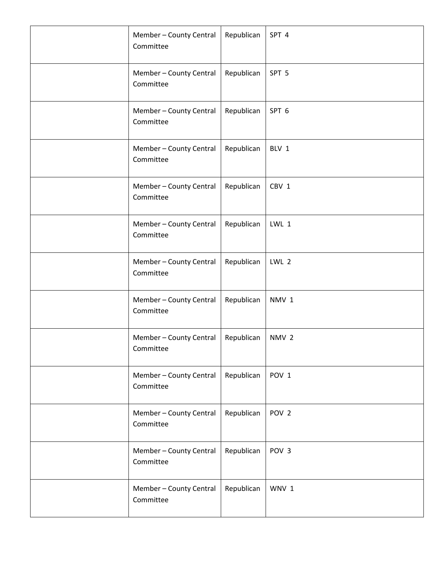| Member - County Central<br>Committee | Republican | SPT 4            |
|--------------------------------------|------------|------------------|
| Member - County Central<br>Committee | Republican | SPT <sub>5</sub> |
| Member - County Central<br>Committee | Republican | SPT 6            |
| Member - County Central<br>Committee | Republican | BLV 1            |
| Member - County Central<br>Committee | Republican | CBV 1            |
| Member - County Central<br>Committee | Republican | LWL 1            |
| Member - County Central<br>Committee | Republican | LWL 2            |
| Member - County Central<br>Committee | Republican | NMV <sub>1</sub> |
| Member - County Central<br>Committee | Republican | NMV <sub>2</sub> |
| Member - County Central<br>Committee | Republican | POV <sub>1</sub> |
| Member - County Central<br>Committee | Republican | POV <sub>2</sub> |
| Member - County Central<br>Committee | Republican | POV <sub>3</sub> |
| Member - County Central<br>Committee | Republican | WNV 1            |
|                                      |            |                  |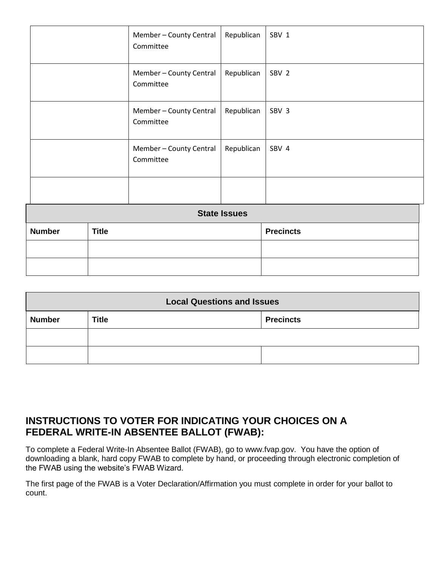| <b>Number</b>       | <b>Title</b> |                                      |            | <b>Precincts</b> |
|---------------------|--------------|--------------------------------------|------------|------------------|
| <b>State Issues</b> |              |                                      |            |                  |
|                     |              |                                      |            |                  |
|                     |              | Member - County Central<br>Committee | Republican | SBV 4            |
|                     |              | Member - County Central<br>Committee | Republican | SBV 3            |
|                     |              | Member - County Central<br>Committee | Republican | SBV 2            |
|                     |              | Member - County Central<br>Committee | Republican | SBV 1            |

| <b>Local Questions and Issues</b> |              |                  |  |
|-----------------------------------|--------------|------------------|--|
| <b>Number</b>                     | <b>Title</b> | <b>Precincts</b> |  |
|                                   |              |                  |  |
|                                   |              |                  |  |

## **INSTRUCTIONS TO VOTER FOR INDICATING YOUR CHOICES ON A FEDERAL WRITE-IN ABSENTEE BALLOT (FWAB):**

To complete a Federal Write-In Absentee Ballot (FWAB), go to [www.fvap.gov.](http://www.fvap.gov/) You have the option of downloading a blank, hard copy FWAB to complete by hand, or proceeding through electronic completion of the FWAB using the website's FWAB Wizard.

The first page of the FWAB is a Voter Declaration/Affirmation you must complete in order for your ballot to count.